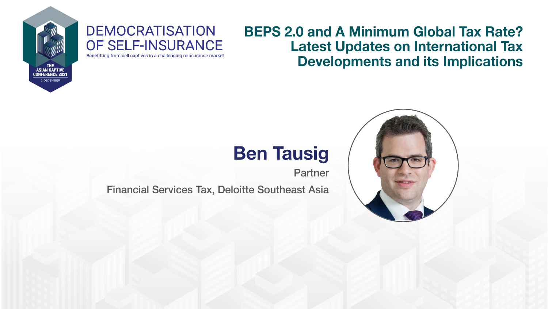

### **DEMOCRATISATION** OF SELF-INSURANCE

Benefitting from cell captives in a challenging reinsurance market

### **BEPS 2.0 and A Minimum Global Tax Rate? Latest Updates on International Tax Developments and its Implications**

### **Ben Tausig**

Partner

**Financial Services Tax, Deloitte Southeast Asia** 

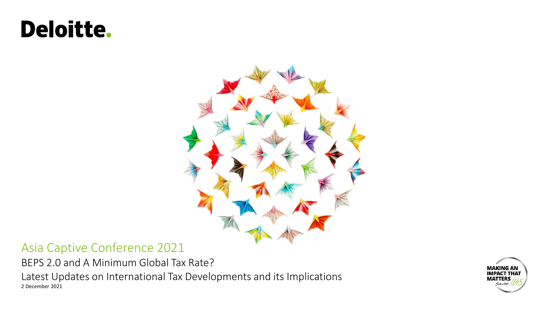# **Deloitte.**



#### Asia Captive Conference 2021

BEPS 2.0 and A Minimum Global Tax Rate?

2 December 2021 Latest Updates on International Tax Developments and its Implications

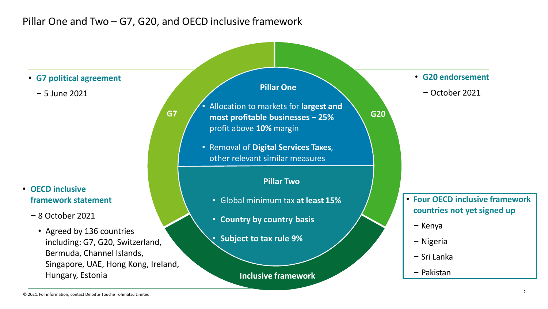#### Pillar One and Two – G7, G20, and OECD inclusive framework

**G7 G20 most profitable businesses** − **25% Inclusive framework** • **G7 political agreement** – 5 June 2021 • **G20 endorsement** – October 2021 • **OECD inclusive framework statement**  – 8 October 2021 • Agreed by 136 countries including: G7, G20, Switzerland, Bermuda, Channel Islands, Singapore, UAE, Hong Kong, Ireland, Hungary, Estonia • **Four OECD inclusive framework countries not yet signed up** – Kenya – Nigeria – Sri Lanka – Pakistan **Pillar Two** • Global minimum tax **at least 15%** • **Country by country basis** • **Subject to tax rule 9% Pillar One** • Allocation to markets for **largest and**  profit above **10%** margin • Removal of **Digital Services Taxes**, other relevant similar measures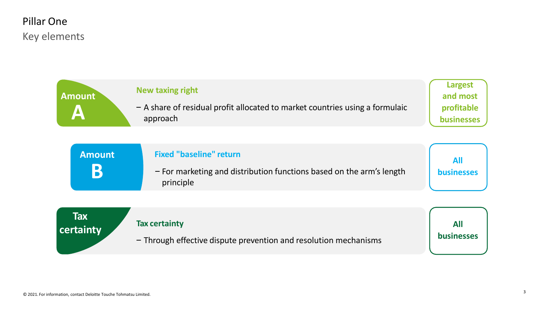#### Key elements Pillar One

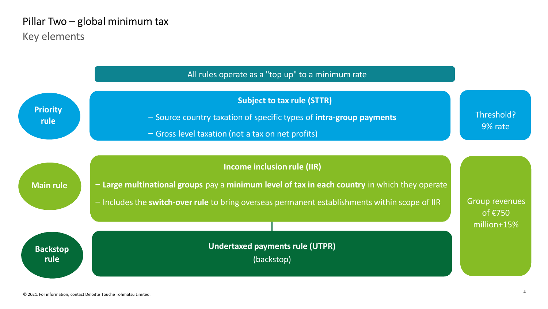#### Key elements Pillar Two – global minimum tax

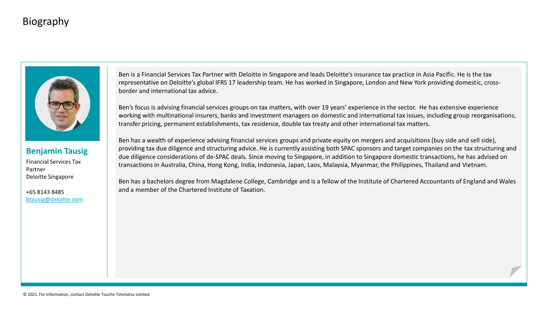#### Biography



#### **Benjamin Tausig**

Financial Services Tax Partner Deloitte Singapore

+65 8143 8485 [btausig@deloitte.com](mailto:btausig@deloitte.com) Ben is a Financial Services Tax Partner with Deloitte in Singapore and leads Deloitte's insurance tax practice in Asia Pacific. He is the tax representative on Deloitte's global IFRS 17 leadership team. He has worked in Singapore, London and New York providing domestic, crossborder and international tax advice.

Ben's focus is advising financial services groups on tax matters, with over 19 years' experience in the sector. He has extensive experience working with multinational insurers, banks and investment managers on domestic and international tax issues, including group reorganisations, transfer pricing, permanent establishments, tax residence, double tax treaty and other international tax matters.

Ben has a wealth of experience advising financial services groups and private equity on mergers and acquisitions (buy side and sell side), providing tax due diligence and structuring advice. He is currently assisting both SPAC sponsors and target companies on the tax structuring and due diligence considerations of de-SPAC deals. Since moving to Singapore, in addition to Singapore domestic transactions, he has advised on transactions in Australia, China, Hong Kong, India, Indonesia, Japan, Laos, Malaysia, Myanmar, the Philippines, Thailand and Vietnam.

Ben has a bachelors degree from Magdalene College, Cambridge and is a fellow of the Institute of Chartered Accountants of England and Wales and a member of the Chartered Institute of Taxation.